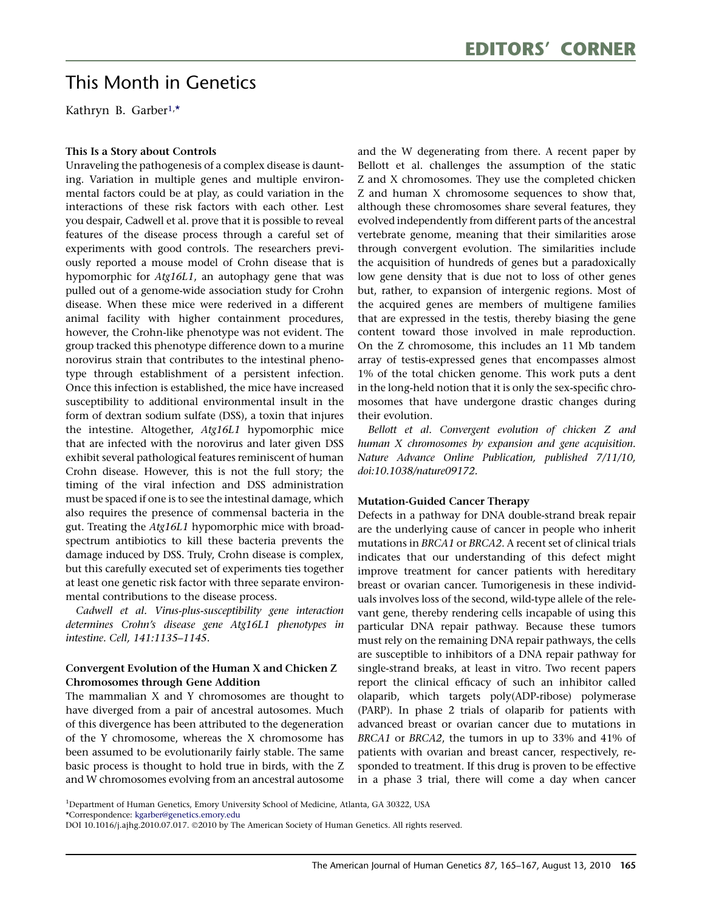# This Month in Genetics This Month in Genetics

Kathryn B. Garber1, \*

# This Is a Story about Controls

Unraveling the pathogenesis of a complex disease is daunting. Variation in multiple genes and multiple environmental factors could be at play, as could variation in the interactions of these risk factors with each other. Lest you despair, Cadwell et al. prove that it is possible to reveal features of the disease process through a careful set of experiments with good controls. The researchers previously reported a mouse model of Crohn disease that is hypomorphic for Atg16L1, an autophagy gene that was pulled out of a genome-wide association study for Crohn disease. When these mice were rederived in a different animal facility with higher containment procedures, however, the Crohn-like phenotype was not evident. The group tracked this phenotype difference down to a murine norovirus strain that contributes to the intestinal phenotype through establishment of a persistent infection. Once this infection is established, the mice have increased susceptibility to additional environmental insult in the form of dextran sodium sulfate (DSS), a toxin that injures the intestine. Altogether, Atg16L1 hypomorphic mice that are infected with the norovirus and later given DSS exhibit several pathological features reminiscent of human Crohn disease. However, this is not the full story; the timing of the viral infection and DSS administration must be spaced if one is to see the intestinal damage, which also requires the presence of commensal bacteria in the gut. Treating the Atg16L1 hypomorphic mice with broadspectrum antibiotics to kill these bacteria prevents the damage induced by DSS. Truly, Crohn disease is complex, but this carefully executed set of experiments ties together at least one genetic risk factor with three separate environmental contributions to the disease process.

Cadwell et al. Virus-plus-susceptibility gene interaction determines Crohn's disease gene Atg16L1 phenotypes in intestine. Cell, 141:1135–1145.

# Convergent Evolution of the Human X and Chicken Z Chromosomes through Gene Addition

The mammalian X and Y chromosomes are thought to have diverged from a pair of ancestral autosomes. Much of this divergence has been attributed to the degeneration of the Y chromosome, whereas the X chromosome has been assumed to be evolutionarily fairly stable. The same basic process is thought to hold true in birds, with the Z and W chromosomes evolving from an ancestral autosome

and the W degenerating from there. A recent paper by Bellott et al. challenges the assumption of the static Z and X chromosomes. They use the completed chicken Z and human X chromosome sequences to show that, although these chromosomes share several features, they evolved independently from different parts of the ancestral vertebrate genome, meaning that their similarities arose through convergent evolution. The similarities include the acquisition of hundreds of genes but a paradoxically low gene density that is due not to loss of other genes but, rather, to expansion of intergenic regions. Most of the acquired genes are members of multigene families that are expressed in the testis, thereby biasing the gene content toward those involved in male reproduction. On the Z chromosome, this includes an 11 Mb tandem array of testis-expressed genes that encompasses almost 1% of the total chicken genome. This work puts a dent in the long-held notion that it is only the sex-specific chromosomes that have undergone drastic changes during their evolution.

Bellott et al. Convergent evolution of chicken Z and human X chromosomes by expansion and gene acquisition. Nature Advance Online Publication, published 7/11/10, doi:10.1038/nature09172.

# Mutation-Guided Cancer Therapy

Defects in a pathway for DNA double-strand break repair are the underlying cause of cancer in people who inherit mutations in BRCA1 or BRCA2. A recent set of clinical trials indicates that our understanding of this defect might improve treatment for cancer patients with hereditary breast or ovarian cancer. Tumorigenesis in these individuals involves loss of the second, wild-type allele of the relevant gene, thereby rendering cells incapable of using this particular DNA repair pathway. Because these tumors must rely on the remaining DNA repair pathways, the cells are susceptible to inhibitors of a DNA repair pathway for single-strand breaks, at least in vitro. Two recent papers report the clinical efficacy of such an inhibitor called olaparib, which targets poly(ADP-ribose) polymerase (PARP). In phase 2 trials of olaparib for patients with advanced breast or ovarian cancer due to mutations in BRCA1 or BRCA2, the tumors in up to 33% and 41% of patients with ovarian and breast cancer, respectively, responded to treatment. If this drug is proven to be effective in a phase 3 trial, there will come a day when cancer

<sup>&</sup>lt;sup>1</sup>Department of Human Genetics, Emory University School of Medicine, Atlanta, GA 30322, USA

<sup>\*</sup>Correspondence: [kgarber@genetics.emory.edu](mailto:kgarber@genetics.emory.edu)

DOI 10.1016/j.ajhg.2010.07.017. ©2010 by The American Society of Human Genetics. All rights reserved.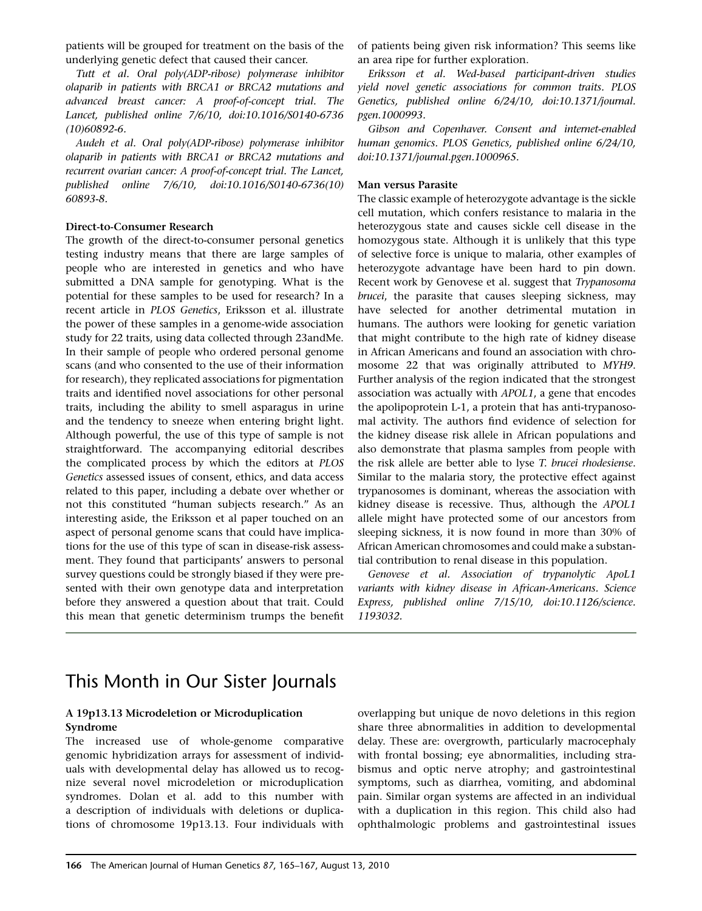patients will be grouped for treatment on the basis of the underlying genetic defect that caused their cancer.

Tutt et al. Oral poly(ADP-ribose) polymerase inhibitor olaparib in patients with BRCA1 or BRCA2 mutations and advanced breast cancer: A proof-of-concept trial. The Lancet, published online 7/6/10, doi:10.1016/S0140-6736 (10)60892-6.

Audeh et al. Oral poly(ADP-ribose) polymerase inhibitor olaparib in patients with BRCA1 or BRCA2 mutations and recurrent ovarian cancer: A proof-of-concept trial. The Lancet, published online 7/6/10, doi:10.1016/S0140-6736(10) 60893-8.

#### Direct-to-Consumer Research

The growth of the direct-to-consumer personal genetics testing industry means that there are large samples of people who are interested in genetics and who have submitted a DNA sample for genotyping. What is the potential for these samples to be used for research? In a recent article in PLOS Genetics, Eriksson et al. illustrate the power of these samples in a genome-wide association study for 22 traits, using data collected through 23andMe. In their sample of people who ordered personal genome scans (and who consented to the use of their information for research), they replicated associations for pigmentation traits and identified novel associations for other personal traits, including the ability to smell asparagus in urine and the tendency to sneeze when entering bright light. Although powerful, the use of this type of sample is not straightforward. The accompanying editorial describes the complicated process by which the editors at PLOS Genetics assessed issues of consent, ethics, and data access related to this paper, including a debate over whether or not this constituted ''human subjects research.'' As an interesting aside, the Eriksson et al paper touched on an aspect of personal genome scans that could have implications for the use of this type of scan in disease-risk assessment. They found that participants' answers to personal survey questions could be strongly biased if they were presented with their own genotype data and interpretation before they answered a question about that trait. Could this mean that genetic determinism trumps the benefit

of patients being given risk information? This seems like an area ripe for further exploration.

Eriksson et al. Wed-based participant-driven studies yield novel genetic associations for common traits. PLOS Genetics, published online 6/24/10, doi:10.1371/journal. pgen.1000993.

Gibson and Copenhaver. Consent and internet-enabled human genomics. PLOS Genetics, published online 6/24/10, doi:10.1371/journal.pgen.1000965.

#### Man versus Parasite

The classic example of heterozygote advantage is the sickle cell mutation, which confers resistance to malaria in the heterozygous state and causes sickle cell disease in the homozygous state. Although it is unlikely that this type of selective force is unique to malaria, other examples of heterozygote advantage have been hard to pin down. Recent work by Genovese et al. suggest that Trypanosoma brucei, the parasite that causes sleeping sickness, may have selected for another detrimental mutation in humans. The authors were looking for genetic variation that might contribute to the high rate of kidney disease in African Americans and found an association with chromosome 22 that was originally attributed to MYH9. Further analysis of the region indicated that the strongest association was actually with APOL1, a gene that encodes the apolipoprotein L-1, a protein that has anti-trypanosomal activity. The authors find evidence of selection for the kidney disease risk allele in African populations and also demonstrate that plasma samples from people with the risk allele are better able to lyse T. brucei rhodesiense. Similar to the malaria story, the protective effect against trypanosomes is dominant, whereas the association with kidney disease is recessive. Thus, although the APOL1 allele might have protected some of our ancestors from sleeping sickness, it is now found in more than 30% of African American chromosomes and could make a substantial contribution to renal disease in this population.

Genovese et al. Association of trypanolytic ApoL1 variants with kidney disease in African-Americans. Science Express, published online 7/15/10, doi:10.1126/science. 1193032.

# This Month in Our Sister Journals

#### A 19p13.13 Microdeletion or Microduplication Syndrome

The increased use of whole-genome comparative genomic hybridization arrays for assessment of individuals with developmental delay has allowed us to recognize several novel microdeletion or microduplication syndromes. Dolan et al. add to this number with a description of individuals with deletions or duplications of chromosome 19p13.13. Four individuals with overlapping but unique de novo deletions in this region share three abnormalities in addition to developmental delay. These are: overgrowth, particularly macrocephaly with frontal bossing; eye abnormalities, including strabismus and optic nerve atrophy; and gastrointestinal symptoms, such as diarrhea, vomiting, and abdominal pain. Similar organ systems are affected in an individual with a duplication in this region. This child also had ophthalmologic problems and gastrointestinal issues